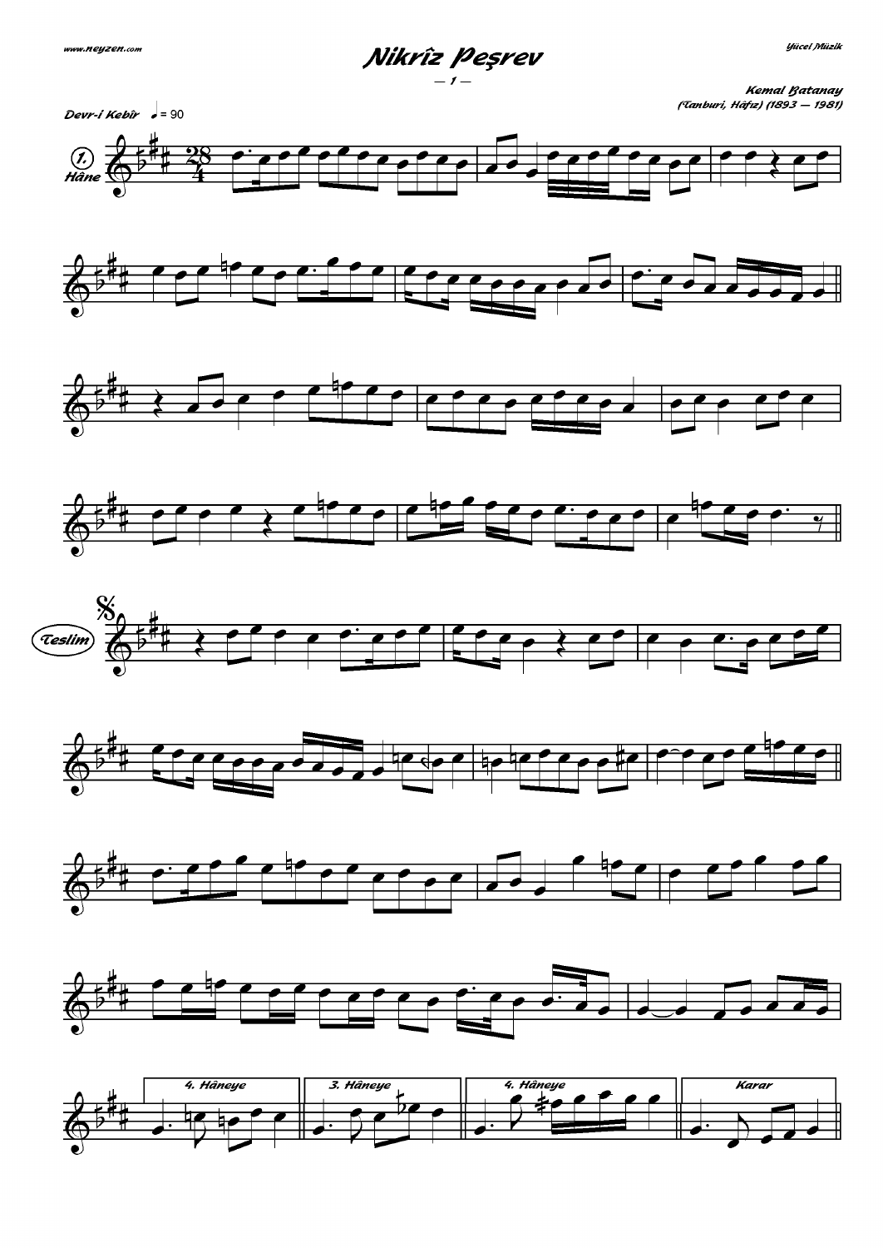

Uücel Müzik



**Kemal Ratanay** (Tanburi, Hâfız) (1893 – 1981)

















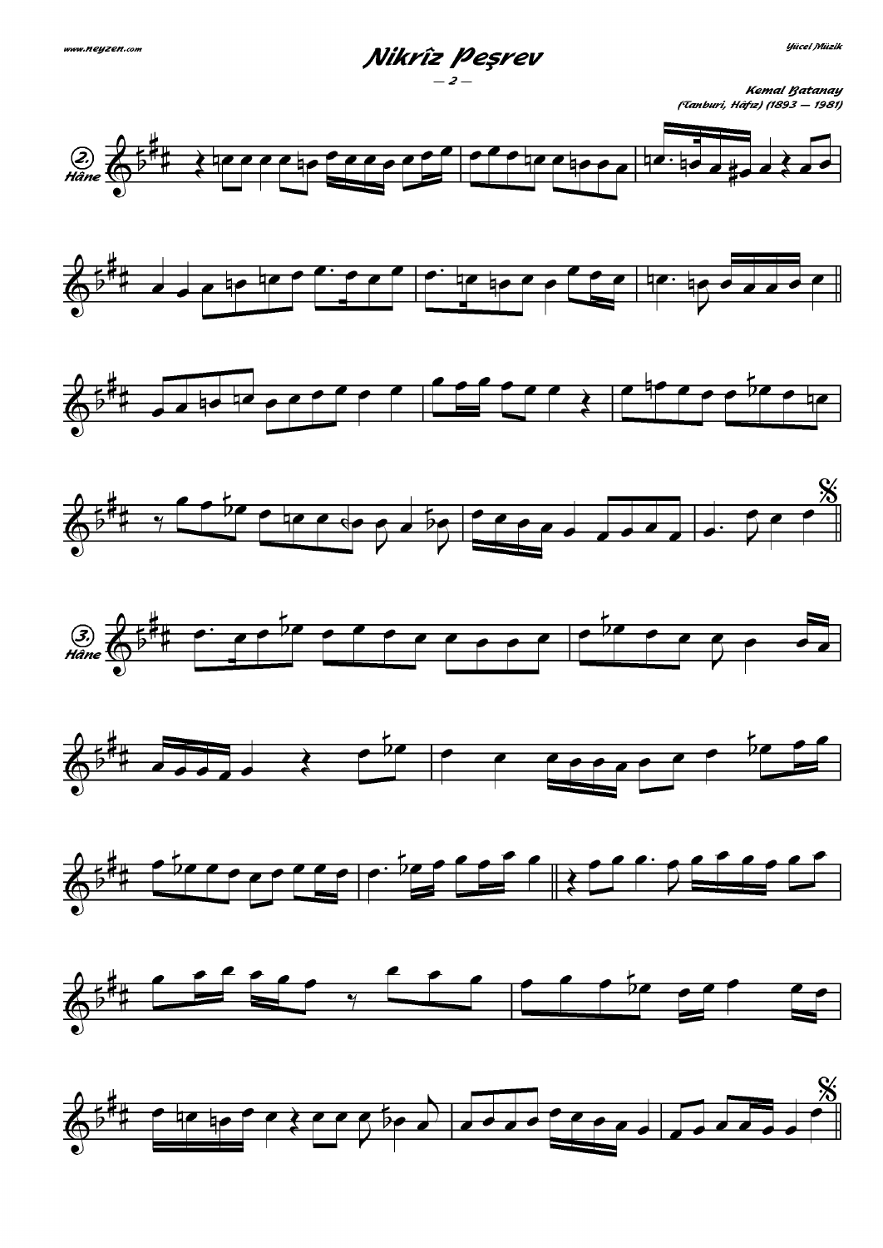